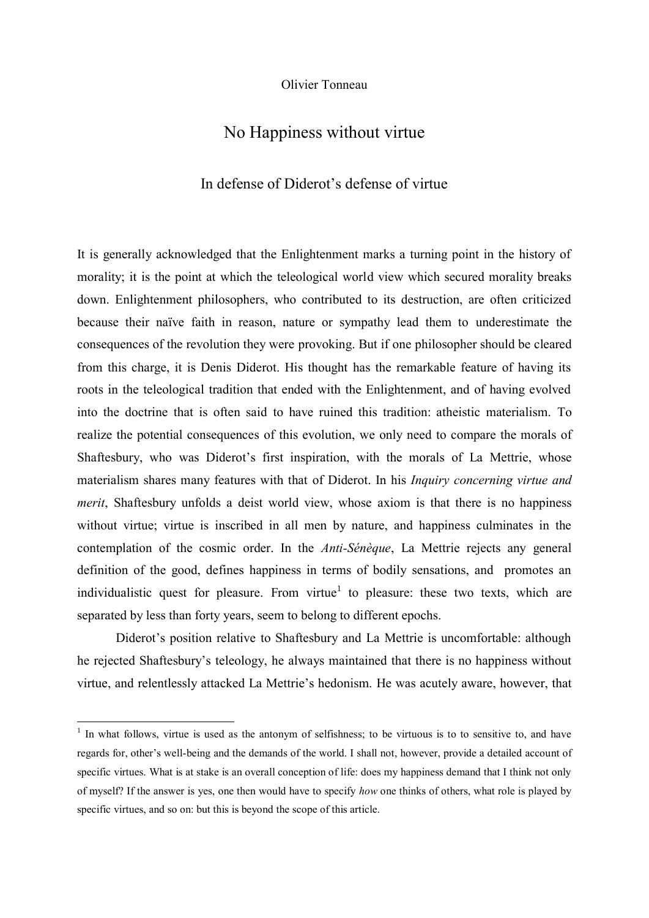Olivier Tonneau

# No Happiness without virtue

## In defense of Diderot's defense of virtue

It is generally acknowledged that the Enlightenment marks a turning point in the history of morality; it is the point at which the teleological world view which secured morality breaks down. Enlightenment philosophers, who contributed to its destruction, are often criticized because their naïve faith in reason, nature or sympathy lead them to underestimate the consequences of the revolution they were provoking. But if one philosopher should be cleared from this charge, it is Denis Diderot. His thought has the remarkable feature of having its roots in the teleological tradition that ended with the Enlightenment, and of having evolved into the doctrine that is often said to have ruined this tradition: atheistic materialism. To realize the potential consequences of this evolution, we only need to compare the morals of Shaftesbury, who was Diderot's first inspiration, with the morals of La Mettrie, whose materialism shares many features with that of Diderot. In his *Inquiry concerning virtue and merit*, Shaftesbury unfolds a deist world view, whose axiom is that there is no happiness without virtue; virtue is inscribed in all men by nature, and happiness culminates in the contemplation of the cosmic order. In the *Anti-Sénèque*, La Mettrie rejects any general definition of the good, defines happiness in terms of bodily sensations, and promotes an individualistic quest for pleasure. From virtue<sup>1</sup> to pleasure: these two texts, which are separated by less than forty years, seem to belong to different epochs.

Diderot's position relative to Shaftesbury and La Mettrie is uncomfortable: although he rejected Shaftesbury's teleology, he always maintained that there is no happiness without virtue, and relentlessly attacked La Mettrie's hedonism. He was acutely aware, however, that

<sup>&</sup>lt;sup>1</sup> In what follows, virtue is used as the antonym of selfishness; to be virtuous is to to sensitive to, and have regards for, other's well-being and the demands of the world. I shall not, however, provide a detailed account of specific virtues. What is at stake is an overall conception of life: does my happiness demand that I think not only of myself? If the answer is yes, one then would have to specify *how* one thinks of others, what role is played by specific virtues, and so on: but this is beyond the scope of this article.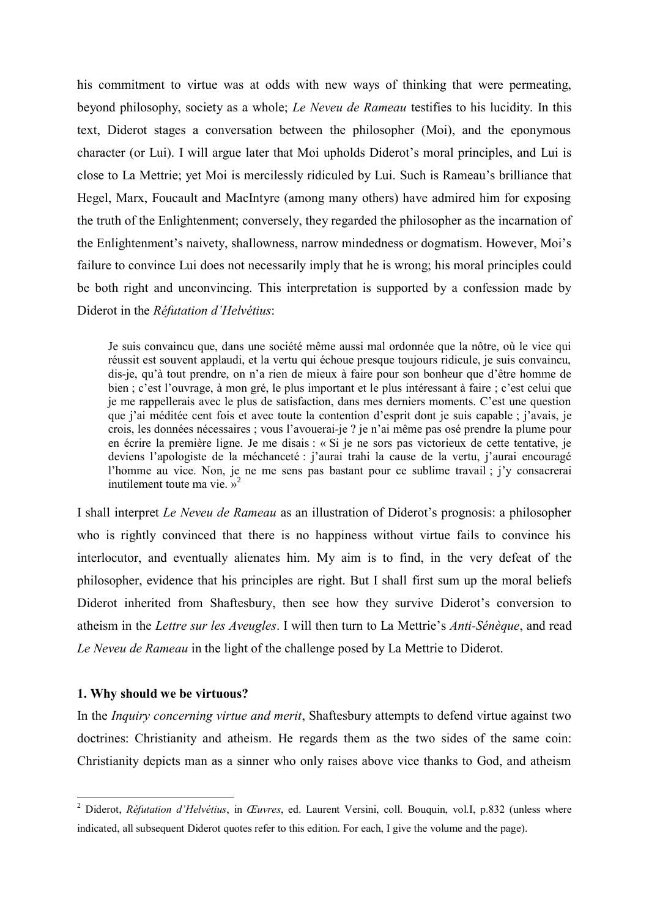his commitment to virtue was at odds with new ways of thinking that were permeating, beyond philosophy, society as a whole; *Le Neveu de Rameau* testifies to his lucidity. In this text, Diderot stages a conversation between the philosopher (Moi), and the eponymous character (or Lui). I will argue later that Moi upholds Diderot's moral principles, and Lui is close to La Mettrie; yet Moi is mercilessly ridiculed by Lui. Such is Rameau's brilliance that Hegel, Marx, Foucault and MacIntyre (among many others) have admired him for exposing the truth of the Enlightenment; conversely, they regarded the philosopher as the incarnation of the Enlightenment's naivety, shallowness, narrow mindedness or dogmatism. However, Moi's failure to convince Lui does not necessarily imply that he is wrong; his moral principles could be both right and unconvincing. This interpretation is supported by a confession made by Diderot in the *Réfutation d'Helvétius*:

Je suis convaincu que, dans une société même aussi mal ordonnée que la nôtre, où le vice qui réussit est souvent applaudi, et la vertu qui échoue presque toujours ridicule, je suis convaincu, dis-je, qu'à tout prendre, on n'a rien de mieux à faire pour son bonheur que d'être homme de bien ; c'est l'ouvrage, à mon gré, le plus important et le plus intéressant à faire ; c'est celui que je me rappellerais avec le plus de satisfaction, dans mes derniers moments. C'est une question que j'ai méditée cent fois et avec toute la contention d'esprit dont je suis capable ; j'avais, je crois, les données nécessaires ; vous l'avouerai-je ? je n'ai même pas osé prendre la plume pour en écrire la première ligne. Je me disais : « Si je ne sors pas victorieux de cette tentative, je deviens l'apologiste de la méchanceté : j'aurai trahi la cause de la vertu, j'aurai encouragé l'homme au vice. Non, je ne me sens pas bastant pour ce sublime travail ; j'y consacrerai inutilement toute ma vie. »<sup>2</sup>

I shall interpret *Le Neveu de Rameau* as an illustration of Diderot's prognosis: a philosopher who is rightly convinced that there is no happiness without virtue fails to convince his interlocutor, and eventually alienates him. My aim is to find, in the very defeat of the philosopher, evidence that his principles are right. But I shall first sum up the moral beliefs Diderot inherited from Shaftesbury, then see how they survive Diderot's conversion to atheism in the *Lettre sur les Aveugles*. I will then turn to La Mettrie's *Anti-Sénèque*, and read *Le Neveu de Rameau* in the light of the challenge posed by La Mettrie to Diderot.

#### **1. Why should we be virtuous?**

 $\overline{a}$ 

In the *Inquiry concerning virtue and merit*, Shaftesbury attempts to defend virtue against two doctrines: Christianity and atheism. He regards them as the two sides of the same coin: Christianity depicts man as a sinner who only raises above vice thanks to God, and atheism

<sup>2</sup> Diderot, *Réfutation d'Helvétius*, in *Œuvres*, ed. Laurent Versini, coll. Bouquin, vol.I, p.832 (unless where indicated, all subsequent Diderot quotes refer to this edition. For each, I give the volume and the page).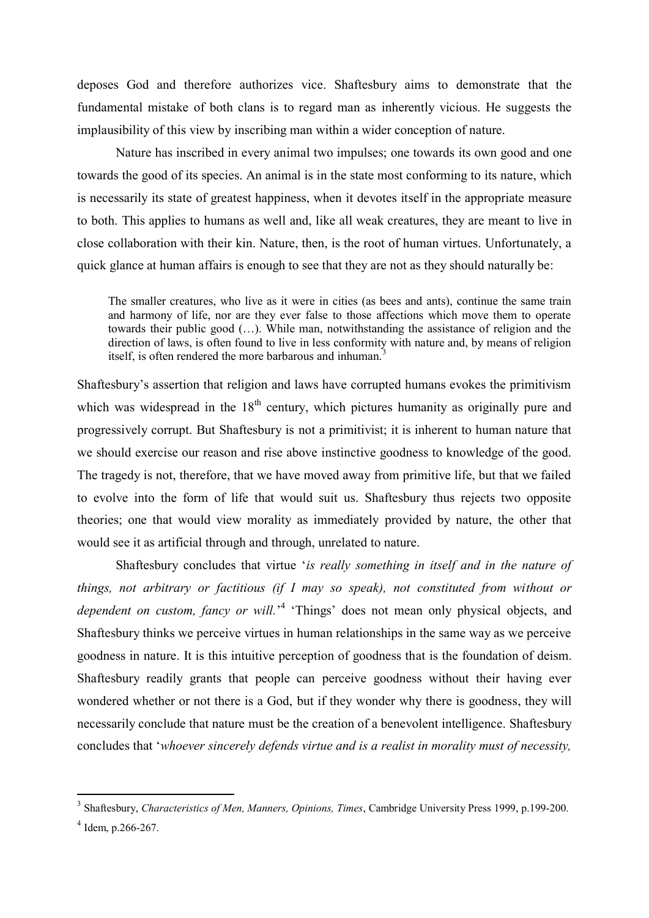deposes God and therefore authorizes vice. Shaftesbury aims to demonstrate that the fundamental mistake of both clans is to regard man as inherently vicious. He suggests the implausibility of this view by inscribing man within a wider conception of nature.

Nature has inscribed in every animal two impulses; one towards its own good and one towards the good of its species. An animal is in the state most conforming to its nature, which is necessarily its state of greatest happiness, when it devotes itself in the appropriate measure to both. This applies to humans as well and, like all weak creatures, they are meant to live in close collaboration with their kin. Nature, then, is the root of human virtues. Unfortunately, a quick glance at human affairs is enough to see that they are not as they should naturally be:

The smaller creatures, who live as it were in cities (as bees and ants), continue the same train and harmony of life, nor are they ever false to those affections which move them to operate towards their public good (…). While man, notwithstanding the assistance of religion and the direction of laws, is often found to live in less conformity with nature and, by means of religion itself, is often rendered the more barbarous and inhuman.

Shaftesbury's assertion that religion and laws have corrupted humans evokes the primitivism which was widespread in the  $18<sup>th</sup>$  century, which pictures humanity as originally pure and progressively corrupt. But Shaftesbury is not a primitivist; it is inherent to human nature that we should exercise our reason and rise above instinctive goodness to knowledge of the good. The tragedy is not, therefore, that we have moved away from primitive life, but that we failed to evolve into the form of life that would suit us. Shaftesbury thus rejects two opposite theories; one that would view morality as immediately provided by nature, the other that would see it as artificial through and through, unrelated to nature.

Shaftesbury concludes that virtue '*is really something in itself and in the nature of things, not arbitrary or factitious (if I may so speak), not constituted from without or*  dependent on custom, fancy or will.<sup>4</sup> 'Things' does not mean only physical objects, and Shaftesbury thinks we perceive virtues in human relationships in the same way as we perceive goodness in nature. It is this intuitive perception of goodness that is the foundation of deism. Shaftesbury readily grants that people can perceive goodness without their having ever wondered whether or not there is a God, but if they wonder why there is goodness, they will necessarily conclude that nature must be the creation of a benevolent intelligence. Shaftesbury concludes that '*whoever sincerely defends virtue and is a realist in morality must of necessity,* 

<sup>3</sup> Shaftesbury, *Characteristics of Men, Manners, Opinions, Times*, Cambridge University Press 1999, p.199-200.

 $4$  Idem, p.266-267.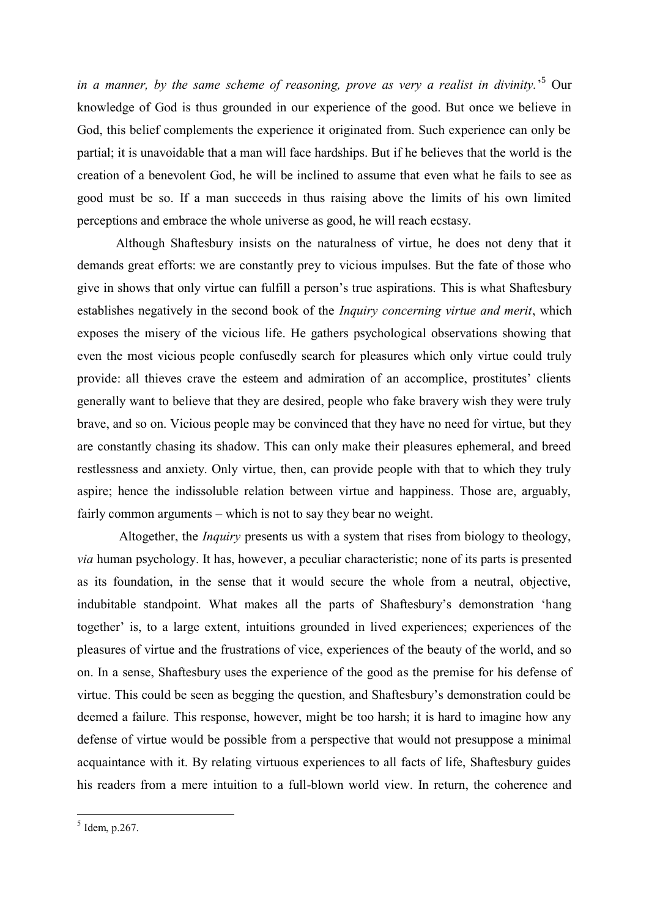*in a manner, by the same scheme of reasoning, prove as very a realist in divinity.*' <sup>5</sup> Our knowledge of God is thus grounded in our experience of the good. But once we believe in God, this belief complements the experience it originated from. Such experience can only be partial; it is unavoidable that a man will face hardships. But if he believes that the world is the creation of a benevolent God, he will be inclined to assume that even what he fails to see as good must be so. If a man succeeds in thus raising above the limits of his own limited perceptions and embrace the whole universe as good, he will reach ecstasy.

Although Shaftesbury insists on the naturalness of virtue, he does not deny that it demands great efforts: we are constantly prey to vicious impulses. But the fate of those who give in shows that only virtue can fulfill a person's true aspirations. This is what Shaftesbury establishes negatively in the second book of the *Inquiry concerning virtue and merit*, which exposes the misery of the vicious life. He gathers psychological observations showing that even the most vicious people confusedly search for pleasures which only virtue could truly provide: all thieves crave the esteem and admiration of an accomplice, prostitutes' clients generally want to believe that they are desired, people who fake bravery wish they were truly brave, and so on. Vicious people may be convinced that they have no need for virtue, but they are constantly chasing its shadow. This can only make their pleasures ephemeral, and breed restlessness and anxiety. Only virtue, then, can provide people with that to which they truly aspire; hence the indissoluble relation between virtue and happiness. Those are, arguably, fairly common arguments – which is not to say they bear no weight.

Altogether, the *Inquiry* presents us with a system that rises from biology to theology, *via* human psychology. It has, however, a peculiar characteristic; none of its parts is presented as its foundation, in the sense that it would secure the whole from a neutral, objective, indubitable standpoint. What makes all the parts of Shaftesbury's demonstration 'hang together' is, to a large extent, intuitions grounded in lived experiences; experiences of the pleasures of virtue and the frustrations of vice, experiences of the beauty of the world, and so on. In a sense, Shaftesbury uses the experience of the good as the premise for his defense of virtue. This could be seen as begging the question, and Shaftesbury's demonstration could be deemed a failure. This response, however, might be too harsh; it is hard to imagine how any defense of virtue would be possible from a perspective that would not presuppose a minimal acquaintance with it. By relating virtuous experiences to all facts of life, Shaftesbury guides his readers from a mere intuition to a full-blown world view. In return, the coherence and

 $<sup>5</sup>$  Idem, p.267.</sup>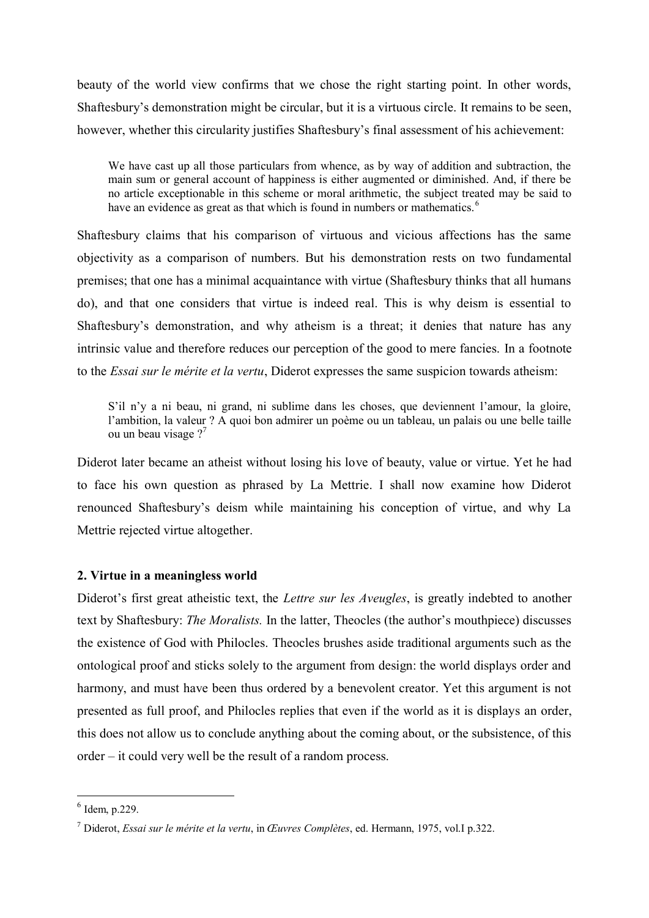beauty of the world view confirms that we chose the right starting point. In other words, Shaftesbury's demonstration might be circular, but it is a virtuous circle. It remains to be seen, however, whether this circularity justifies Shaftesbury's final assessment of his achievement:

We have cast up all those particulars from whence, as by way of addition and subtraction, the main sum or general account of happiness is either augmented or diminished. And, if there be no article exceptionable in this scheme or moral arithmetic, the subject treated may be said to have an evidence as great as that which is found in numbers or mathematics.<sup>6</sup>

Shaftesbury claims that his comparison of virtuous and vicious affections has the same objectivity as a comparison of numbers. But his demonstration rests on two fundamental premises; that one has a minimal acquaintance with virtue (Shaftesbury thinks that all humans do), and that one considers that virtue is indeed real. This is why deism is essential to Shaftesbury's demonstration, and why atheism is a threat; it denies that nature has any intrinsic value and therefore reduces our perception of the good to mere fancies. In a footnote to the *Essai sur le mérite et la vertu*, Diderot expresses the same suspicion towards atheism:

S'il n'y a ni beau, ni grand, ni sublime dans les choses, que deviennent l'amour, la gloire, l'ambition, la valeur ? A quoi bon admirer un poème ou un tableau, un palais ou une belle taille ou un beau visage ?<sup>7</sup>

Diderot later became an atheist without losing his love of beauty, value or virtue. Yet he had to face his own question as phrased by La Mettrie. I shall now examine how Diderot renounced Shaftesbury's deism while maintaining his conception of virtue, and why La Mettrie rejected virtue altogether.

## **2. Virtue in a meaningless world**

Diderot's first great atheistic text, the *Lettre sur les Aveugles*, is greatly indebted to another text by Shaftesbury: *The Moralists.* In the latter, Theocles (the author's mouthpiece) discusses the existence of God with Philocles. Theocles brushes aside traditional arguments such as the ontological proof and sticks solely to the argument from design: the world displays order and harmony, and must have been thus ordered by a benevolent creator. Yet this argument is not presented as full proof, and Philocles replies that even if the world as it is displays an order, this does not allow us to conclude anything about the coming about, or the subsistence, of this  $order - it could very well be the result of a random process.$ 

 $<sup>6</sup>$  Idem, p.229.</sup>

<sup>7</sup> Diderot, *Essai sur le mérite et la vertu*, in *Œuvres Complètes*, ed. Hermann, 1975, vol.I p.322.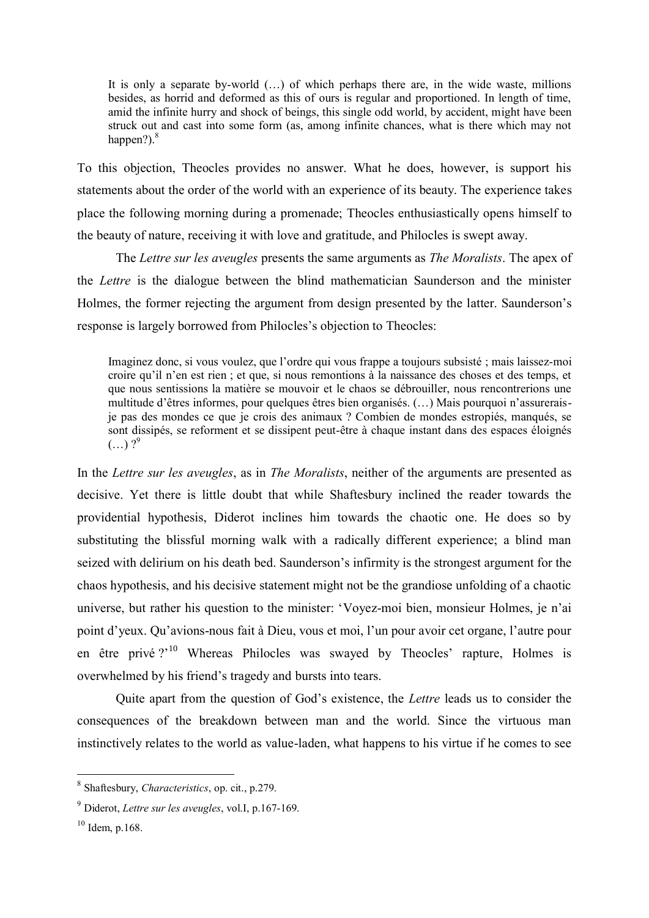It is only a separate by-world (…) of which perhaps there are, in the wide waste, millions besides, as horrid and deformed as this of ours is regular and proportioned. In length of time, amid the infinite hurry and shock of beings, this single odd world, by accident, might have been struck out and cast into some form (as, among infinite chances, what is there which may not happen?). $8$ 

To this objection, Theocles provides no answer. What he does, however, is support his statements about the order of the world with an experience of its beauty. The experience takes place the following morning during a promenade; Theocles enthusiastically opens himself to the beauty of nature, receiving it with love and gratitude, and Philocles is swept away.

The *Lettre sur les aveugles* presents the same arguments as *The Moralists*. The apex of the *Lettre* is the dialogue between the blind mathematician Saunderson and the minister Holmes, the former rejecting the argument from design presented by the latter. Saunderson's response is largely borrowed from Philocles's objection to Theocles:

Imaginez donc, si vous voulez, que l'ordre qui vous frappe a toujours subsisté ; mais laissez-moi croire qu'il n'en est rien ; et que, si nous remontions à la naissance des choses et des temps, et que nous sentissions la matière se mouvoir et le chaos se débrouiller, nous rencontrerions une multitude d'êtres informes, pour quelques êtres bien organisés. (…) Mais pourquoi n'assureraisje pas des mondes ce que je crois des animaux ? Combien de mondes estropiés, manqués, se sont dissipés, se reforment et se dissipent peut-être à chaque instant dans des espaces éloignés  $(...) ?^9$ 

In the *Lettre sur les aveugles*, as in *The Moralists*, neither of the arguments are presented as decisive. Yet there is little doubt that while Shaftesbury inclined the reader towards the providential hypothesis, Diderot inclines him towards the chaotic one. He does so by substituting the blissful morning walk with a radically different experience; a blind man seized with delirium on his death bed. Saunderson's infirmity is the strongest argument for the chaos hypothesis, and his decisive statement might not be the grandiose unfolding of a chaotic universe, but rather his question to the minister: 'Voyez-moi bien, monsieur Holmes, je n'ai point d'yeux. Qu'avions-nous fait à Dieu, vous et moi, l'un pour avoir cet organe, l'autre pour en être privé ?'<sup>10</sup> Whereas Philocles was swayed by Theocles' rapture, Holmes is overwhelmed by his friend's tragedy and bursts into tears.

Quite apart from the question of God's existence, the *Lettre* leads us to consider the consequences of the breakdown between man and the world. Since the virtuous man instinctively relates to the world as value-laden, what happens to his virtue if he comes to see

<sup>8</sup> Shaftesbury, *Characteristics*, op. cit., p.279.

<sup>9</sup> Diderot, *Lettre sur les aveugles*, vol.I, p.167-169.

 $10$  Idem, p.168.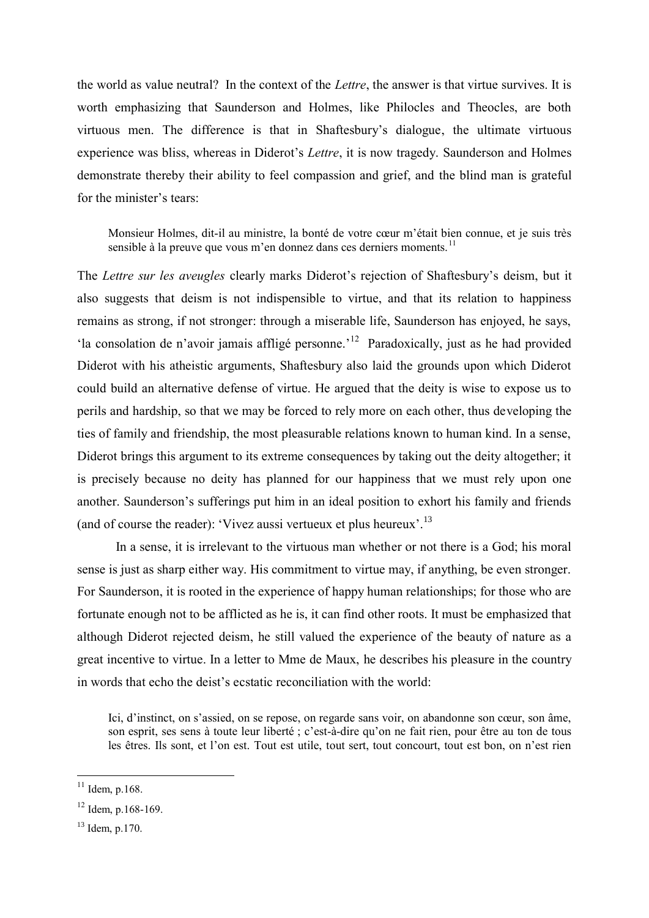the world as value neutral? In the context of the *Lettre*, the answer is that virtue survives. It is worth emphasizing that Saunderson and Holmes, like Philocles and Theocles, are both virtuous men. The difference is that in Shaftesbury's dialogue, the ultimate virtuous experience was bliss, whereas in Diderot's *Lettre*, it is now tragedy. Saunderson and Holmes demonstrate thereby their ability to feel compassion and grief, and the blind man is grateful for the minister's tears:

Monsieur Holmes, dit-il au ministre, la bonté de votre cœur m'était bien connue, et je suis très sensible à la preuve que vous m'en donnez dans ces derniers moments.<sup>11</sup>

The *Lettre sur les aveugles* clearly marks Diderot's rejection of Shaftesbury's deism, but it also suggests that deism is not indispensible to virtue, and that its relation to happiness remains as strong, if not stronger: through a miserable life, Saunderson has enjoyed, he says, 'la consolation de n'avoir jamais affligé personne.<sup>'12</sup> Paradoxically, just as he had provided Diderot with his atheistic arguments, Shaftesbury also laid the grounds upon which Diderot could build an alternative defense of virtue. He argued that the deity is wise to expose us to perils and hardship, so that we may be forced to rely more on each other, thus developing the ties of family and friendship, the most pleasurable relations known to human kind. In a sense, Diderot brings this argument to its extreme consequences by taking out the deity altogether; it is precisely because no deity has planned for our happiness that we must rely upon one another. Saunderson's sufferings put him in an ideal position to exhort his family and friends (and of course the reader): 'Vivez aussi vertueux et plus heureux'.<sup>13</sup>

In a sense, it is irrelevant to the virtuous man whether or not there is a God; his moral sense is just as sharp either way. His commitment to virtue may, if anything, be even stronger. For Saunderson, it is rooted in the experience of happy human relationships; for those who are fortunate enough not to be afflicted as he is, it can find other roots. It must be emphasized that although Diderot rejected deism, he still valued the experience of the beauty of nature as a great incentive to virtue. In a letter to Mme de Maux, he describes his pleasure in the country in words that echo the deist's ecstatic reconciliation with the world:

Ici, d'instinct, on s'assied, on se repose, on regarde sans voir, on abandonne son cœur, son âme, son esprit, ses sens à toute leur liberté ; c'est-à-dire qu'on ne fait rien, pour être au ton de tous les êtres. Ils sont, et l'on est. Tout est utile, tout sert, tout concourt, tout est bon, on n'est rien

 $11$  Idem, p.168.

 $12$  Idem, p.168-169.

<sup>13</sup> Idem, p.170.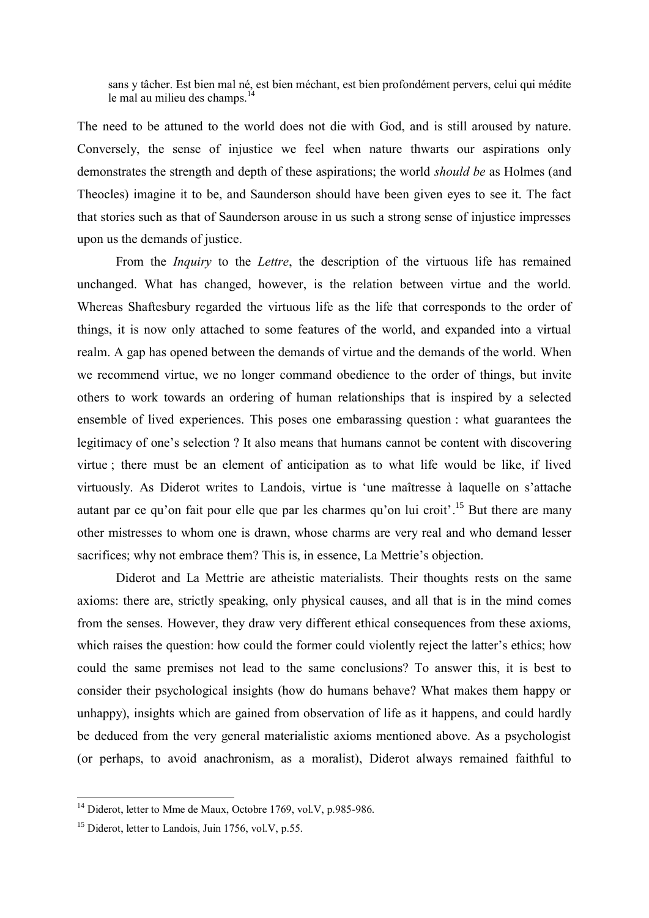sans y tâcher. Est bien mal né, est bien méchant, est bien profondément pervers, celui qui médite le mal au milieu des champs.<sup>14</sup>

The need to be attuned to the world does not die with God, and is still aroused by nature. Conversely, the sense of injustice we feel when nature thwarts our aspirations only demonstrates the strength and depth of these aspirations; the world *should be* as Holmes (and Theocles) imagine it to be, and Saunderson should have been given eyes to see it. The fact that stories such as that of Saunderson arouse in us such a strong sense of injustice impresses upon us the demands of justice.

From the *Inquiry* to the *Lettre*, the description of the virtuous life has remained unchanged. What has changed, however, is the relation between virtue and the world. Whereas Shaftesbury regarded the virtuous life as the life that corresponds to the order of things, it is now only attached to some features of the world, and expanded into a virtual realm. A gap has opened between the demands of virtue and the demands of the world. When we recommend virtue, we no longer command obedience to the order of things, but invite others to work towards an ordering of human relationships that is inspired by a selected ensemble of lived experiences. This poses one embarassing question : what guarantees the legitimacy of one's selection ? It also means that humans cannot be content with discovering virtue ; there must be an element of anticipation as to what life would be like, if lived virtuously. As Diderot writes to Landois, virtue is 'une maîtresse à laquelle on s'attache autant par ce qu'on fait pour elle que par les charmes qu'on lui croit<sup>' 15</sup> But there are many other mistresses to whom one is drawn, whose charms are very real and who demand lesser sacrifices; why not embrace them? This is, in essence, La Mettrie's objection.

Diderot and La Mettrie are atheistic materialists. Their thoughts rests on the same axioms: there are, strictly speaking, only physical causes, and all that is in the mind comes from the senses. However, they draw very different ethical consequences from these axioms, which raises the question: how could the former could violently reject the latter's ethics; how could the same premises not lead to the same conclusions? To answer this, it is best to consider their psychological insights (how do humans behave? What makes them happy or unhappy), insights which are gained from observation of life as it happens, and could hardly be deduced from the very general materialistic axioms mentioned above. As a psychologist (or perhaps, to avoid anachronism, as a moralist), Diderot always remained faithful to

 $14$  Diderot, letter to Mme de Maux, Octobre 1769, vol.V, p.985-986.

<sup>&</sup>lt;sup>15</sup> Diderot, letter to Landois, Juin 1756, vol.V, p.55.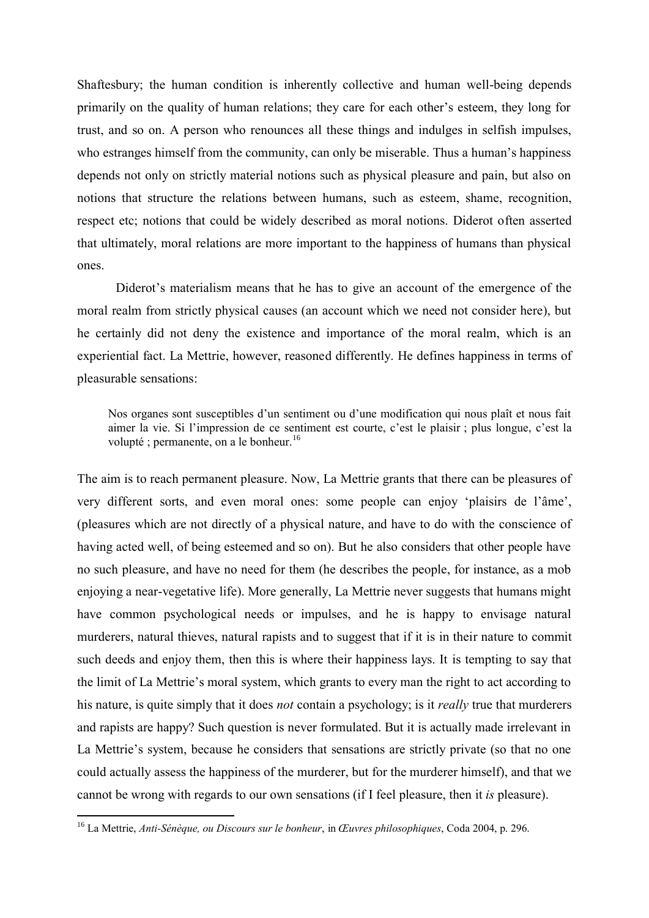Shaftesbury; the human condition is inherently collective and human well-being depends primarily on the quality of human relations; they care for each other's esteem, they long for trust, and so on. A person who renounces all these things and indulges in selfish impulses, who estranges himself from the community, can only be miserable. Thus a human's happiness depends not only on strictly material notions such as physical pleasure and pain, but also on notions that structure the relations between humans, such as esteem, shame, recognition, respect etc; notions that could be widely described as moral notions. Diderot often asserted that ultimately, moral relations are more important to the happiness of humans than physical ones.

Diderot's materialism means that he has to give an account of the emergence of the moral realm from strictly physical causes (an account which we need not consider here), but he certainly did not deny the existence and importance of the moral realm, which is an experiential fact. La Mettrie, however, reasoned differently. He defines happiness in terms of pleasurable sensations:

Nos organes sont susceptibles d'un sentiment ou d'une modification qui nous plaît et nous fait aimer la vie. Si l'impression de ce sentiment est courte, c'est le plaisir ; plus longue, c'est la volupté ; permanente, on a le bonheur.<sup>16</sup>

The aim is to reach permanent pleasure. Now, La Mettrie grants that there can be pleasures of very different sorts, and even moral ones: some people can enjoy 'plaisirs de l'âme', (pleasures which are not directly of a physical nature, and have to do with the conscience of having acted well, of being esteemed and so on). But he also considers that other people have no such pleasure, and have no need for them (he describes the people, for instance, as a mob enjoying a near-vegetative life). More generally, La Mettrie never suggests that humans might have common psychological needs or impulses, and he is happy to envisage natural murderers, natural thieves, natural rapists and to suggest that if it is in their nature to commit such deeds and enjoy them, then this is where their happiness lays. It is tempting to say that the limit of La Mettrie's moral system, which grants to every man the right to act according to his nature, is quite simply that it does *not* contain a psychology; is it *really* true that murderers and rapists are happy? Such question is never formulated. But it is actually made irrelevant in La Mettrie's system, because he considers that sensations are strictly private (so that no one could actually assess the happiness of the murderer, but for the murderer himself), and that we cannot be wrong with regards to our own sensations (if I feel pleasure, then it *is* pleasure).

<sup>16</sup> La Mettrie, *Anti-Sénèque, ou Discours sur le bonheur*, in *Œuvres philosophiques*, Coda 2004, p. 296.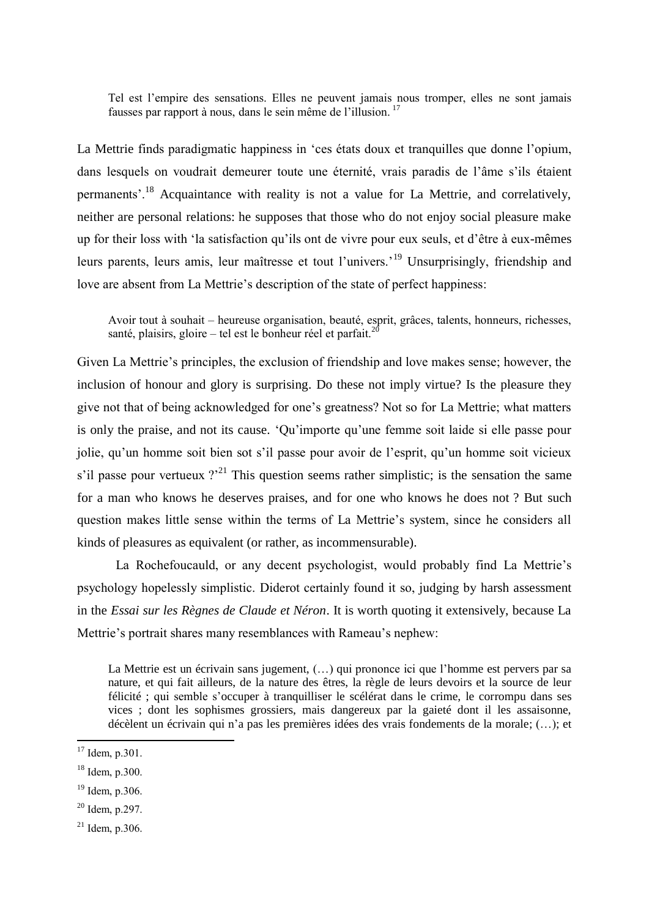Tel est l'empire des sensations. Elles ne peuvent jamais nous tromper, elles ne sont jamais fausses par rapport à nous, dans le sein même de l'illusion.<sup>17</sup>

La Mettrie finds paradigmatic happiness in 'ces états doux et tranquilles que donne l'opium, dans lesquels on voudrait demeurer toute une éternité, vrais paradis de l'âme s'ils étaient permanents'.<sup>18</sup> Acquaintance with reality is not a value for La Mettrie, and correlatively, neither are personal relations: he supposes that those who do not enjoy social pleasure make up for their loss with 'la satisfaction qu'ils ont de vivre pour eux seuls, et d'être à eux-mêmes leurs parents, leurs amis, leur maîtresse et tout l'univers.'<sup>19</sup> Unsurprisingly, friendship and love are absent from La Mettrie's description of the state of perfect happiness:

Avoir tout à souhait – heureuse organisation, beauté, esprit, grâces, talents, honneurs, richesses, santé, plaisirs, gloire  $-$  tel est le bonheur réel et parfait.<sup>2</sup>

Given La Mettrie's principles, the exclusion of friendship and love makes sense; however, the inclusion of honour and glory is surprising. Do these not imply virtue? Is the pleasure they give not that of being acknowledged for one's greatness? Not so for La Mettrie; what matters is only the praise, and not its cause. 'Qu'importe qu'une femme soit laide si elle passe pour jolie, qu'un homme soit bien sot s'il passe pour avoir de l'esprit, qu'un homme soit vicieux s'il passe pour vertueux  $\gamma^{21}$  This question seems rather simplistic; is the sensation the same for a man who knows he deserves praises, and for one who knows he does not ? But such question makes little sense within the terms of La Mettrie's system, since he considers all kinds of pleasures as equivalent (or rather, as incommensurable).

La Rochefoucauld, or any decent psychologist, would probably find La Mettrie's psychology hopelessly simplistic. Diderot certainly found it so, judging by harsh assessment in the *Essai sur les Règnes de Claude et Néron*. It is worth quoting it extensively, because La Mettrie's portrait shares many resemblances with Rameau's nephew:

La Mettrie est un écrivain sans jugement, (…) qui prononce ici que l'homme est pervers par sa nature, et qui fait ailleurs, de la nature des êtres, la règle de leurs devoirs et la source de leur félicité ; qui semble s'occuper à tranquilliser le scélérat dans le crime, le corrompu dans ses vices ; dont les sophismes grossiers, mais dangereux par la gaieté dont il les assaisonne, décèlent un écrivain qui n'a pas les premières idées des vrais fondements de la morale; (…); et

 $\overline{a}$ 

 $21$  Idem, p.306.

 $17$  Idem, p.301.

 $18$  Idem, p. 300.

<sup>19</sup> Idem, p.306.

 $20$  Idem, p.297.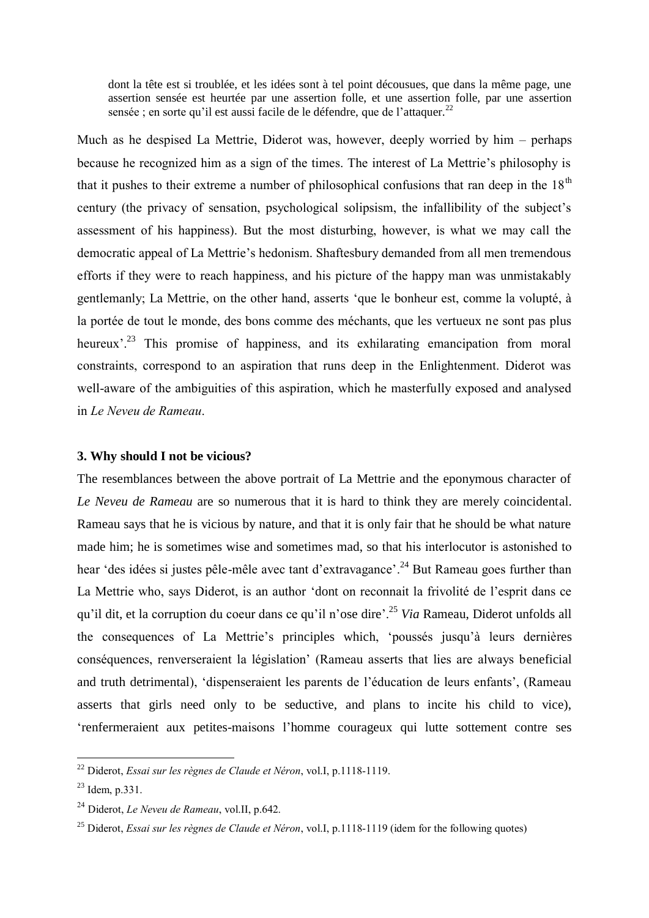dont la tête est si troublée, et les idées sont à tel point décousues, que dans la même page, une assertion sensée est heurtée par une assertion folle, et une assertion folle, par une assertion sensée ; en sorte qu'il est aussi facile de le défendre, que de l'attaquer.<sup>22</sup>

Much as he despised La Mettrie, Diderot was, however, deeply worried by him  $-$  perhaps because he recognized him as a sign of the times. The interest of La Mettrie's philosophy is that it pushes to their extreme a number of philosophical confusions that ran deep in the  $18<sup>th</sup>$ century (the privacy of sensation, psychological solipsism, the infallibility of the subject's assessment of his happiness). But the most disturbing, however, is what we may call the democratic appeal of La Mettrie's hedonism. Shaftesbury demanded from all men tremendous efforts if they were to reach happiness, and his picture of the happy man was unmistakably gentlemanly; La Mettrie, on the other hand, asserts 'que le bonheur est, comme la volupté, à la portée de tout le monde, des bons comme des méchants, que les vertueux ne sont pas plus heureux'.<sup>23</sup> This promise of happiness, and its exhilarating emancipation from moral constraints, correspond to an aspiration that runs deep in the Enlightenment. Diderot was well-aware of the ambiguities of this aspiration, which he masterfully exposed and analysed in *Le Neveu de Rameau*.

#### **3. Why should I not be vicious?**

The resemblances between the above portrait of La Mettrie and the eponymous character of *Le Neveu de Rameau* are so numerous that it is hard to think they are merely coincidental. Rameau says that he is vicious by nature, and that it is only fair that he should be what nature made him; he is sometimes wise and sometimes mad, so that his interlocutor is astonished to hear 'des idées si justes pêle-mêle avec tant d'extravagance'.<sup>24</sup> But Rameau goes further than La Mettrie who, says Diderot, is an author 'dont on reconnait la frivolité de l'esprit dans ce qu'il dit, et la corruption du coeur dans ce qu'il n'ose dire'.<sup>25</sup> *Via* Rameau, Diderot unfolds all the consequences of La Mettrie's principles which, 'poussés jusqu'à leurs dernières conséquences, renverseraient la législation' (Rameau asserts that lies are always beneficial and truth detrimental), 'dispenseraient les parents de l'éducation de leurs enfants', (Rameau asserts that girls need only to be seductive, and plans to incite his child to vice), 'renfermeraient aux petites-maisons l'homme courageux qui lutte sottement contre ses

<sup>22</sup> Diderot, *Essai sur les règnes de Claude et Néron*, vol.I, p.1118-1119.

 $23$  Idem, p.331.

<sup>24</sup> Diderot, *Le Neveu de Rameau*, vol.II, p.642.

<sup>25</sup> Diderot, *Essai sur les règnes de Claude et Néron*, vol.I, p.1118-1119 (idem for the following quotes)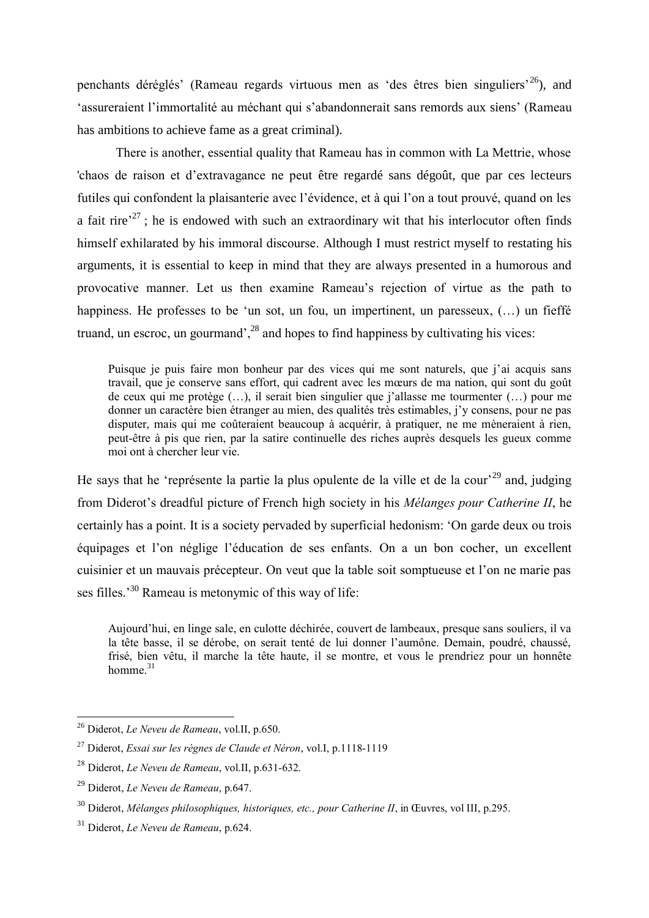penchants déréglés' (Rameau regards virtuous men as 'des êtres bien singuliers'<sup>26</sup>), and 'assureraient l'immortalité au méchant qui s'abandonnerait sans remords aux siens' (Rameau has ambitions to achieve fame as a great criminal).

There is another, essential quality that Rameau has in common with La Mettrie, whose 'chaos de raison et d'extravagance ne peut être regardé sans dégoût, que par ces lecteurs futiles qui confondent la plaisanterie avec l'évidence, et à qui l'on a tout prouvé, quand on les a fait rire<sup> $27$ </sup>; he is endowed with such an extraordinary wit that his interlocutor often finds himself exhilarated by his immoral discourse. Although I must restrict myself to restating his arguments, it is essential to keep in mind that they are always presented in a humorous and provocative manner. Let us then examine Rameau's rejection of virtue as the path to happiness. He professes to be 'un sot, un fou, un impertinent, un paresseux, (...) un fieffé truand, un escroc, un gourmand',  $^{28}$  and hopes to find happiness by cultivating his vices:

Puisque je puis faire mon bonheur par des vices qui me sont naturels, que j'ai acquis sans travail, que je conserve sans effort, qui cadrent avec les mœurs de ma nation, qui sont du goût de ceux qui me protège (…), il serait bien singulier que j'allasse me tourmenter (…) pour me donner un caractère bien étranger au mien, des qualités très estimables, j'y consens, pour ne pas disputer, mais qui me coûteraient beaucoup à acquérir, à pratiquer, ne me mèneraient à rien, peut-être à pis que rien, par la satire continuelle des riches auprès desquels les gueux comme moi ont à chercher leur vie.

He says that he 'représente la partie la plus opulente de la ville et de la cour<sup>29</sup> and, judging from Diderot's dreadful picture of French high society in his *Mélanges pour Catherine II*, he certainly has a point. It is a society pervaded by superficial hedonism: 'On garde deux ou trois équipages et l'on néglige l'éducation de ses enfants. On a un bon cocher, un excellent cuisinier et un mauvais précepteur. On veut que la table soit somptueuse et l'on ne marie pas ses filles.<sup>30</sup> Rameau is metonymic of this way of life:

Aujourd'hui, en linge sale, en culotte déchirée, couvert de lambeaux, presque sans souliers, il va la tête basse, il se dérobe, on serait tenté de lui donner l'aumône. Demain, poudré, chaussé, frisé, bien vêtu, il marche la tête haute, il se montre, et vous le prendriez pour un honnête homme. $31$ 

<sup>26</sup> Diderot, *Le Neveu de Rameau*, vol.II, p.650.

<sup>27</sup> Diderot, *Essai sur les règnes de Claude et Néron*, vol.I, p.1118-1119

<sup>28</sup> Diderot, *Le Neveu de Rameau*, vol.II, p.631-632.

<sup>29</sup> Diderot, *Le Neveu de Rameau*, p.647.

<sup>&</sup>lt;sup>30</sup> Diderot, *Mélanges philosophiques, historiques, etc., pour Catherine II,* in Œuvres, vol III, p.295.

<sup>31</sup> Diderot, *Le Neveu de Rameau*, p.624.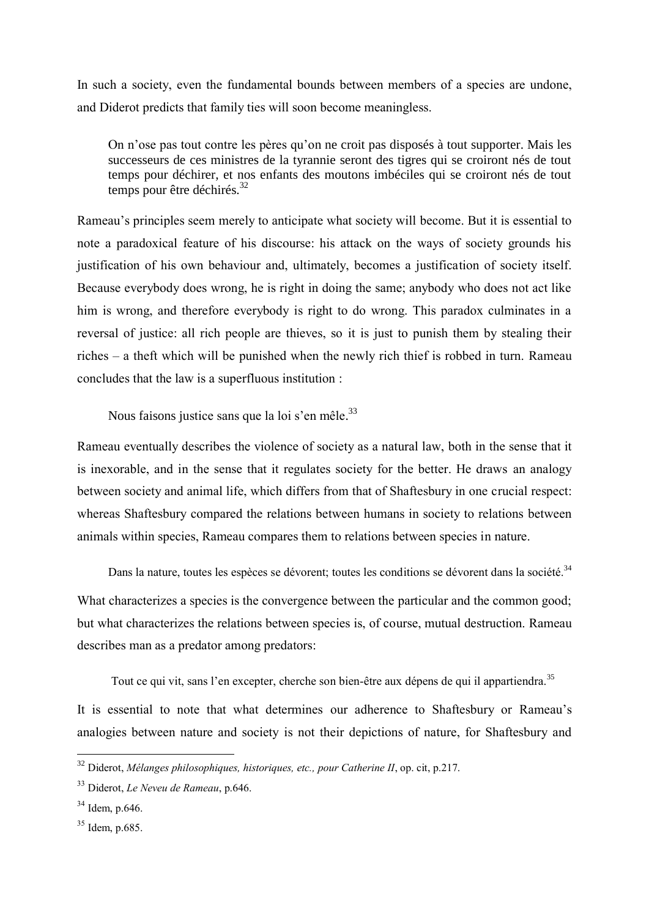In such a society, even the fundamental bounds between members of a species are undone, and Diderot predicts that family ties will soon become meaningless.

On n'ose pas tout contre les pères qu'on ne croit pas disposés à tout supporter. Mais les successeurs de ces ministres de la tyrannie seront des tigres qui se croiront nés de tout temps pour déchirer, et nos enfants des moutons imbéciles qui se croiront nés de tout temps pour être déchirés.<sup>32</sup>

Rameau's principles seem merely to anticipate what society will become. But it is essential to note a paradoxical feature of his discourse: his attack on the ways of society grounds his justification of his own behaviour and, ultimately, becomes a justification of society itself. Because everybody does wrong, he is right in doing the same; anybody who does not act like him is wrong, and therefore everybody is right to do wrong. This paradox culminates in a reversal of justice: all rich people are thieves, so it is just to punish them by stealing their riches  $-$  a theft which will be punished when the newly rich thief is robbed in turn. Rameau concludes that the law is a superfluous institution :

Nous faisons justice sans que la loi s'en mêle.<sup>33</sup>

Rameau eventually describes the violence of society as a natural law, both in the sense that it is inexorable, and in the sense that it regulates society for the better. He draws an analogy between society and animal life, which differs from that of Shaftesbury in one crucial respect: whereas Shaftesbury compared the relations between humans in society to relations between animals within species, Rameau compares them to relations between species in nature.

Dans la nature, toutes les espèces se dévorent; toutes les conditions se dévorent dans la société.<sup>34</sup>

What characterizes a species is the convergence between the particular and the common good; but what characterizes the relations between species is, of course, mutual destruction. Rameau describes man as a predator among predators:

Tout ce qui vit, sans l'en excepter, cherche son bien-être aux dépens de qui il appartiendra.<sup>35</sup>

It is essential to note that what determines our adherence to Shaftesbury or Rameau's analogies between nature and society is not their depictions of nature, for Shaftesbury and

<sup>32</sup> Diderot, *Mélanges philosophiques, historiques, etc., pour Catherine II*, op. cit, p.217.

<sup>33</sup> Diderot, *Le Neveu de Rameau*, p.646.

<sup>34</sup> Idem, p.646.

 $35$  Idem, p.685.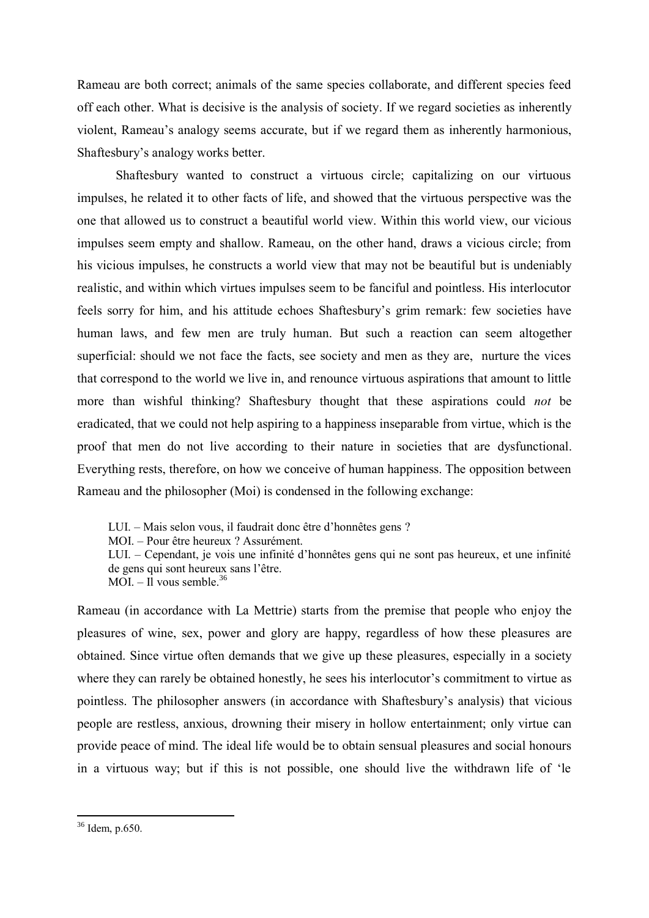Rameau are both correct; animals of the same species collaborate, and different species feed off each other. What is decisive is the analysis of society. If we regard societies as inherently violent, Rameau's analogy seems accurate, but if we regard them as inherently harmonious, Shaftesbury's analogy works better.

Shaftesbury wanted to construct a virtuous circle; capitalizing on our virtuous impulses, he related it to other facts of life, and showed that the virtuous perspective was the one that allowed us to construct a beautiful world view. Within this world view, our vicious impulses seem empty and shallow. Rameau, on the other hand, draws a vicious circle; from his vicious impulses, he constructs a world view that may not be beautiful but is undeniably realistic, and within which virtues impulses seem to be fanciful and pointless. His interlocutor feels sorry for him, and his attitude echoes Shaftesbury's grim remark: few societies have human laws, and few men are truly human. But such a reaction can seem altogether superficial: should we not face the facts, see society and men as they are, nurture the vices that correspond to the world we live in, and renounce virtuous aspirations that amount to little more than wishful thinking? Shaftesbury thought that these aspirations could *not* be eradicated, that we could not help aspiring to a happiness inseparable from virtue, which is the proof that men do not live according to their nature in societies that are dysfunctional. Everything rests, therefore, on how we conceive of human happiness. The opposition between Rameau and the philosopher (Moi) is condensed in the following exchange:

- LUI. Mais selon vous, il faudrait donc être d'honnêtes gens ?
- MOI. Pour être heureux ? Assurément.
- LUI. Cependant, je vois une infinité d'honnêtes gens qui ne sont pas heureux, et une infinité de gens qui sont heureux sans l'être.
- MOI.  $-$  Il vous semble  $36$

Rameau (in accordance with La Mettrie) starts from the premise that people who enjoy the pleasures of wine, sex, power and glory are happy, regardless of how these pleasures are obtained. Since virtue often demands that we give up these pleasures, especially in a society where they can rarely be obtained honestly, he sees his interlocutor's commitment to virtue as pointless. The philosopher answers (in accordance with Shaftesbury's analysis) that vicious people are restless, anxious, drowning their misery in hollow entertainment; only virtue can provide peace of mind. The ideal life would be to obtain sensual pleasures and social honours in a virtuous way; but if this is not possible, one should live the withdrawn life of 'le

 $36$  Idem, p.650.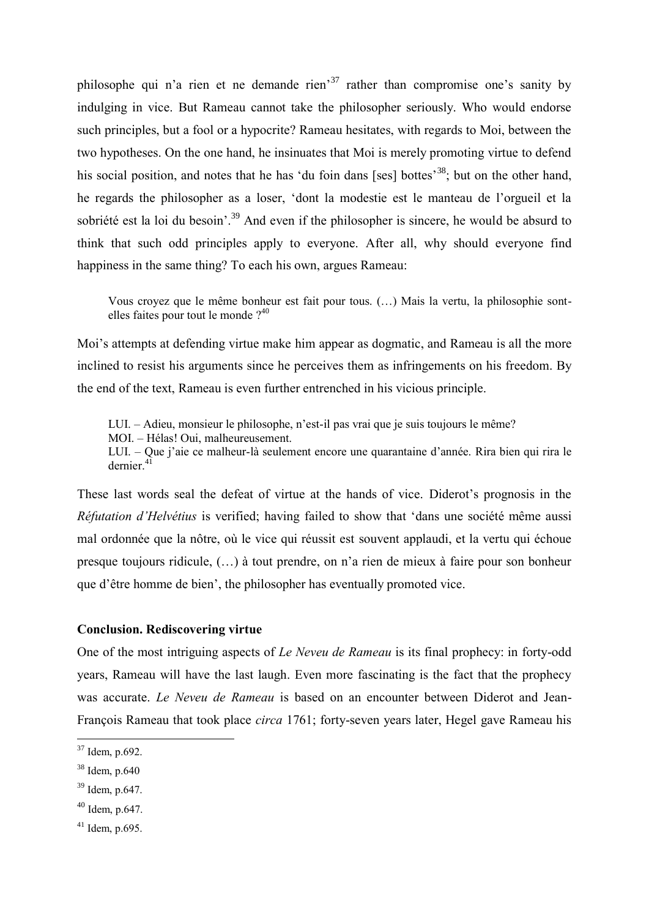philosophe qui n'a rien et ne demande rien'<sup>37</sup> rather than compromise one's sanity by indulging in vice. But Rameau cannot take the philosopher seriously. Who would endorse such principles, but a fool or a hypocrite? Rameau hesitates, with regards to Moi, between the two hypotheses. On the one hand, he insinuates that Moi is merely promoting virtue to defend his social position, and notes that he has 'du foin dans [ses] bottes<sup>38</sup>; but on the other hand, he regards the philosopher as a loser, 'dont la modestie est le manteau de l'orgueil et la sobriété est la loi du besoin<sup>'39</sup> And even if the philosopher is sincere, he would be absurd to think that such odd principles apply to everyone. After all, why should everyone find happiness in the same thing? To each his own, argues Rameau:

Vous croyez que le même bonheur est fait pour tous. (…) Mais la vertu, la philosophie sontelles faites pour tout le monde ?<sup>40</sup>

Moi's attempts at defending virtue make him appear as dogmatic, and Rameau is all the more inclined to resist his arguments since he perceives them as infringements on his freedom. By the end of the text, Rameau is even further entrenched in his vicious principle.

LUI. – Adieu, monsieur le philosophe, n'est-il pas vrai que je suis toujours le même?

MOI. – Hélas! Oui, malheureusement.

LUI. – Que j'aie ce malheur-là seulement encore une quarantaine d'année. Rira bien qui rira le dernier  $4\tilde{1}$ 

These last words seal the defeat of virtue at the hands of vice. Diderot's prognosis in the *Réfutation d'Helvétius* is verified; having failed to show that 'dans une société même aussi mal ordonnée que la nôtre, où le vice qui réussit est souvent applaudi, et la vertu qui échoue presque toujours ridicule, (…) à tout prendre, on n'a rien de mieux à faire pour son bonheur que d'être homme de bien', the philosopher has eventually promoted vice.

### **Conclusion. Rediscovering virtue**

One of the most intriguing aspects of *Le Neveu de Rameau* is its final prophecy: in forty-odd years, Rameau will have the last laugh. Even more fascinating is the fact that the prophecy was accurate. *Le Neveu de Rameau* is based on an encounter between Diderot and Jean-François Rameau that took place *circa* 1761; forty-seven years later, Hegel gave Rameau his

<sup>37</sup> Idem, p.692.

<sup>38</sup> Idem, p.640

<sup>39</sup> Idem, p.647.

 $40$  Idem, p.647.

 $41$  Idem, p.695.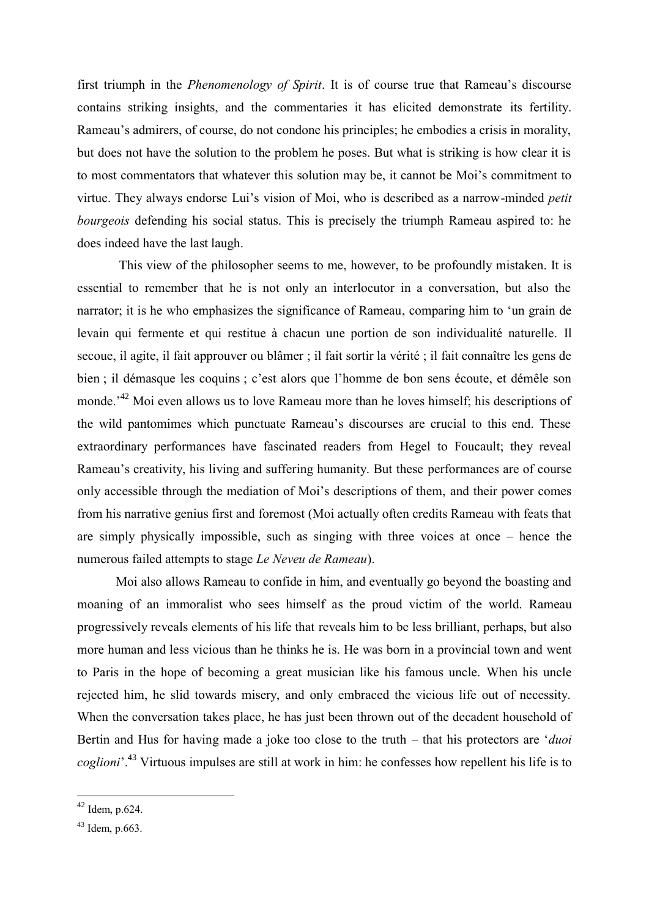first triumph in the *Phenomenology of Spirit*. It is of course true that Rameau's discourse contains striking insights, and the commentaries it has elicited demonstrate its fertility. Rameau's admirers, of course, do not condone his principles; he embodies a crisis in morality, but does not have the solution to the problem he poses. But what is striking is how clear it is to most commentators that whatever this solution may be, it cannot be Moi's commitment to virtue. They always endorse Lui's vision of Moi, who is described as a narrow-minded *petit bourgeois* defending his social status. This is precisely the triumph Rameau aspired to: he does indeed have the last laugh.

This view of the philosopher seems to me, however, to be profoundly mistaken. It is essential to remember that he is not only an interlocutor in a conversation, but also the narrator; it is he who emphasizes the significance of Rameau, comparing him to 'un grain de levain qui fermente et qui restitue à chacun une portion de son individualité naturelle. Il secoue, il agite, il fait approuver ou blâmer ; il fait sortir la vérité ; il fait connaître les gens de bien ; il démasque les coquins ; c'est alors que l'homme de bon sens écoute, et démêle son monde.<sup>42</sup> Moi even allows us to love Rameau more than he loves himself; his descriptions of the wild pantomimes which punctuate Rameau's discourses are crucial to this end. These extraordinary performances have fascinated readers from Hegel to Foucault; they reveal Rameau's creativity, his living and suffering humanity. But these performances are of course only accessible through the mediation of Moi's descriptions of them, and their power comes from his narrative genius first and foremost (Moi actually often credits Rameau with feats that are simply physically impossible, such as singing with three voices at once  $-$  hence the numerous failed attempts to stage *Le Neveu de Rameau*).

Moi also allows Rameau to confide in him, and eventually go beyond the boasting and moaning of an immoralist who sees himself as the proud victim of the world. Rameau progressively reveals elements of his life that reveals him to be less brilliant, perhaps, but also more human and less vicious than he thinks he is. He was born in a provincial town and went to Paris in the hope of becoming a great musician like his famous uncle. When his uncle rejected him, he slid towards misery, and only embraced the vicious life out of necessity. When the conversation takes place, he has just been thrown out of the decadent household of Bertin and Hus for having made a joke too close to the truth – that his protectors are '*duoi coglioni*'.<sup>43</sup> Virtuous impulses are still at work in him: he confesses how repellent his life is to

 $42$  Idem, p.624.

<sup>43</sup> Idem, p.663.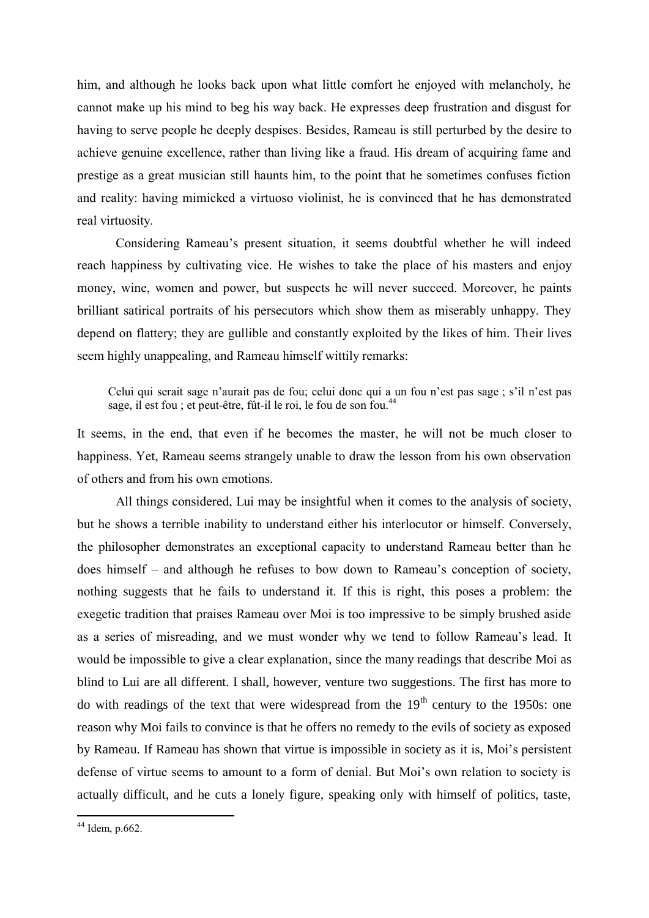him, and although he looks back upon what little comfort he enjoyed with melancholy, he cannot make up his mind to beg his way back. He expresses deep frustration and disgust for having to serve people he deeply despises. Besides, Rameau is still perturbed by the desire to achieve genuine excellence, rather than living like a fraud. His dream of acquiring fame and prestige as a great musician still haunts him, to the point that he sometimes confuses fiction and reality: having mimicked a virtuoso violinist, he is convinced that he has demonstrated real virtuosity.

Considering Rameau's present situation, it seems doubtful whether he will indeed reach happiness by cultivating vice. He wishes to take the place of his masters and enjoy money, wine, women and power, but suspects he will never succeed. Moreover, he paints brilliant satirical portraits of his persecutors which show them as miserably unhappy. They depend on flattery; they are gullible and constantly exploited by the likes of him. Their lives seem highly unappealing, and Rameau himself wittily remarks:

Celui qui serait sage n'aurait pas de fou; celui donc qui a un fou n'est pas sage ; s'il n'est pas sage, il est fou ; et peut-être, fût-il le roi, le fou de son fou.<sup>44</sup>

It seems, in the end, that even if he becomes the master, he will not be much closer to happiness. Yet, Rameau seems strangely unable to draw the lesson from his own observation of others and from his own emotions.

All things considered, Lui may be insightful when it comes to the analysis of society, but he shows a terrible inability to understand either his interlocutor or himself. Conversely, the philosopher demonstrates an exceptional capacity to understand Rameau better than he does himself  $-$  and although he refuses to bow down to Rameau's conception of society, nothing suggests that he fails to understand it. If this is right, this poses a problem: the exegetic tradition that praises Rameau over Moi is too impressive to be simply brushed aside as a series of misreading, and we must wonder why we tend to follow Rameau's lead. It would be impossible to give a clear explanation, since the many readings that describe Moi as blind to Lui are all different. I shall, however, venture two suggestions. The first has more to do with readings of the text that were widespread from the  $19<sup>th</sup>$  century to the 1950s: one reason why Moi fails to convince is that he offers no remedy to the evils of society as exposed by Rameau. If Rameau has shown that virtue is impossible in society as it is, Moi's persistent defense of virtue seems to amount to a form of denial. But Moi's own relation to society is actually difficult, and he cuts a lonely figure, speaking only with himself of politics, taste,

 $44$  Idem, p.662.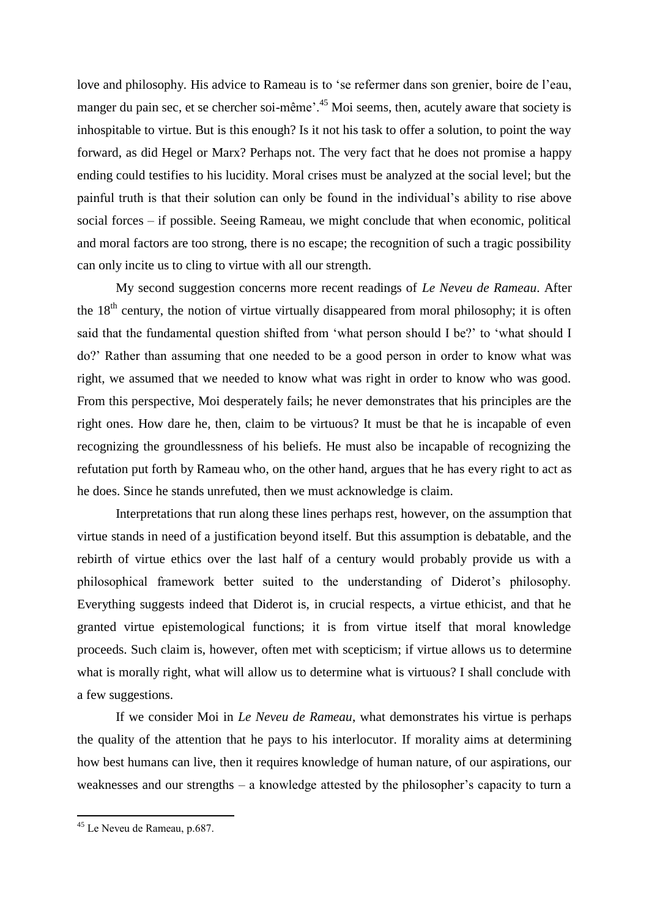love and philosophy. His advice to Rameau is to 'se refermer dans son grenier, boire de l'eau, manger du pain sec, et se chercher soi-même'.<sup>45</sup> Moi seems, then, acutely aware that society is inhospitable to virtue. But is this enough? Is it not his task to offer a solution, to point the way forward, as did Hegel or Marx? Perhaps not. The very fact that he does not promise a happy ending could testifies to his lucidity. Moral crises must be analyzed at the social level; but the painful truth is that their solution can only be found in the individual's ability to rise above social forces – if possible. Seeing Rameau, we might conclude that when economic, political and moral factors are too strong, there is no escape; the recognition of such a tragic possibility can only incite us to cling to virtue with all our strength.

My second suggestion concerns more recent readings of *Le Neveu de Rameau*. After the  $18<sup>th</sup>$  century, the notion of virtue virtually disappeared from moral philosophy; it is often said that the fundamental question shifted from 'what person should I be?' to 'what should I do?' Rather than assuming that one needed to be a good person in order to know what was right, we assumed that we needed to know what was right in order to know who was good. From this perspective, Moi desperately fails; he never demonstrates that his principles are the right ones. How dare he, then, claim to be virtuous? It must be that he is incapable of even recognizing the groundlessness of his beliefs. He must also be incapable of recognizing the refutation put forth by Rameau who, on the other hand, argues that he has every right to act as he does. Since he stands unrefuted, then we must acknowledge is claim.

Interpretations that run along these lines perhaps rest, however, on the assumption that virtue stands in need of a justification beyond itself. But this assumption is debatable, and the rebirth of virtue ethics over the last half of a century would probably provide us with a philosophical framework better suited to the understanding of Diderot's philosophy. Everything suggests indeed that Diderot is, in crucial respects, a virtue ethicist, and that he granted virtue epistemological functions; it is from virtue itself that moral knowledge proceeds. Such claim is, however, often met with scepticism; if virtue allows us to determine what is morally right, what will allow us to determine what is virtuous? I shall conclude with a few suggestions.

If we consider Moi in *Le Neveu de Rameau*, what demonstrates his virtue is perhaps the quality of the attention that he pays to his interlocutor. If morality aims at determining how best humans can live, then it requires knowledge of human nature, of our aspirations, our weaknesses and our strengths – a knowledge attested by the philosopher's capacity to turn a

<sup>45</sup> Le Neveu de Rameau, p.687.